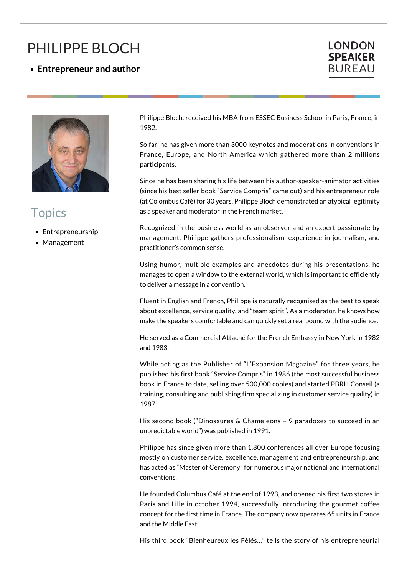## PHILIPPE BLOCH

**Entrepreneur and author**





## **Topics**

- **Entrepreneurship**
- **Management**

Philippe Bloch, received his MBA from ESSEC Business School in Paris, France, in 1982.

So far, he has given more than 3000 keynotes and moderations in conventions in France, Europe, and North America which gathered more than 2 millions participants.

Since he has been sharing his life between his author-speaker-animator activities (since his best seller book "Service Compris" came out) and his entrepreneur role (at Colombus Café) for 30 years, Philippe Bloch demonstrated an atypical legitimity as a speaker and moderator in the French market.

Recognized in the business world as an observer and an expert passionate by management, Philippe gathers professionalism, experience in journalism, and practitioner's common sense.

Using humor, multiple examples and anecdotes during his presentations, he manages to open a window to the external world, which is important to efficiently to deliver a message in a convention.

Fluent in English and French, Philippe is naturally recognised as the best to speak about excellence, service quality, and "team spirit". As a moderator, he knows how make the speakers comfortable and can quickly set a real bound with the audience.

He served as a Commercial Attaché for the French Embassy in New York in 1982 and 1983.

While acting as the Publisher of "L'Expansion Magazine" for three years, he published his first book "Service Compris" in 1986 (the most successful business book in France to date, selling over 500,000 copies) and started PBRH Conseil (a training, consulting and publishing firm specializing in customer service quality) in 1987.

His second book ("Dinosaures & Chameleons – 9 paradoxes to succeed in an unpredictable world") was published in 1991.

Philippe has since given more than 1,800 conferences all over Europe focusing mostly on customer service, excellence, management and entrepreneurship, and has acted as "Master of Ceremony" for numerous major national and international conventions.

He founded Columbus Café at the end of 1993, and opened his first two stores in Paris and Lille in october 1994, successfully introducing the gourmet coffee concept for the first time in France. The company now operates 65 units in France and the Middle East.

His third book "Bienheureux les Fêlés…" tells the story of his entrepreneurial